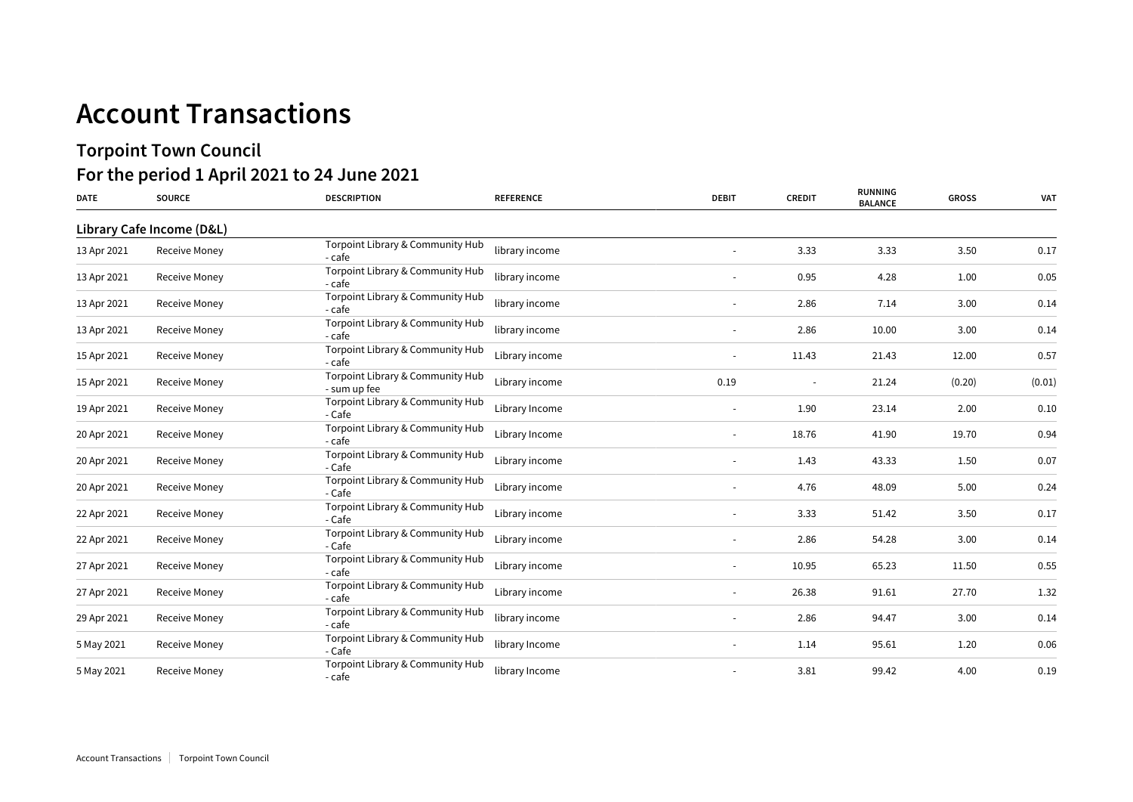## **Account Transactions**

## **Torpoint Town Council For the period 1 April 2021 to 24 June 2021**

| <b>DATE</b> | <b>SOURCE</b>             | <b>DESCRIPTION</b>                               | <b>REFERENCE</b> | <b>DEBIT</b>             | <b>CREDIT</b>            | <b>RUNNING</b><br><b>BALANCE</b> | <b>GROSS</b> | <b>VAT</b> |
|-------------|---------------------------|--------------------------------------------------|------------------|--------------------------|--------------------------|----------------------------------|--------------|------------|
|             | Library Cafe Income (D&L) |                                                  |                  |                          |                          |                                  |              |            |
| 13 Apr 2021 | <b>Receive Money</b>      | Torpoint Library & Community Hub<br>- cafe       | library income   |                          | 3.33                     | 3.33                             | 3.50         | 0.17       |
| 13 Apr 2021 | <b>Receive Money</b>      | Torpoint Library & Community Hub<br>- cafe       | library income   |                          | 0.95                     | 4.28                             | 1.00         | 0.05       |
| 13 Apr 2021 | <b>Receive Money</b>      | Torpoint Library & Community Hub<br>- cafe       | library income   |                          | 2.86                     | 7.14                             | 3.00         | 0.14       |
| 13 Apr 2021 | <b>Receive Money</b>      | Torpoint Library & Community Hub<br>- cafe       | library income   |                          | 2.86                     | 10.00                            | 3.00         | 0.14       |
| 15 Apr 2021 | <b>Receive Money</b>      | Torpoint Library & Community Hub<br>- cafe       | Library income   |                          | 11.43                    | 21.43                            | 12.00        | 0.57       |
| 15 Apr 2021 | <b>Receive Money</b>      | Torpoint Library & Community Hub<br>- sum up fee | Library income   | 0.19                     | $\overline{\phantom{a}}$ | 21.24                            | (0.20)       | (0.01)     |
| 19 Apr 2021 | <b>Receive Money</b>      | Torpoint Library & Community Hub<br>- Cafe       | Library Income   |                          | 1.90                     | 23.14                            | 2.00         | 0.10       |
| 20 Apr 2021 | Receive Money             | Torpoint Library & Community Hub<br>- cafe       | Library Income   |                          | 18.76                    | 41.90                            | 19.70        | 0.94       |
| 20 Apr 2021 | Receive Money             | Torpoint Library & Community Hub<br>- Cafe       | Library income   |                          | 1.43                     | 43.33                            | 1.50         | 0.07       |
| 20 Apr 2021 | Receive Money             | Torpoint Library & Community Hub<br>- Cafe       | Library income   |                          | 4.76                     | 48.09                            | 5.00         | 0.24       |
| 22 Apr 2021 | Receive Money             | Torpoint Library & Community Hub<br>- Cafe       | Library income   | $\overline{\phantom{a}}$ | 3.33                     | 51.42                            | 3.50         | 0.17       |
| 22 Apr 2021 | Receive Money             | Torpoint Library & Community Hub<br>- Cafe       | Library income   | $\overline{\phantom{a}}$ | 2.86                     | 54.28                            | 3.00         | 0.14       |
| 27 Apr 2021 | Receive Money             | Torpoint Library & Community Hub<br>- cafe       | Library income   | $\sim$                   | 10.95                    | 65.23                            | 11.50        | 0.55       |
| 27 Apr 2021 | <b>Receive Money</b>      | Torpoint Library & Community Hub<br>- cafe       | Library income   | $\sim$                   | 26.38                    | 91.61                            | 27.70        | 1.32       |
| 29 Apr 2021 | <b>Receive Money</b>      | Torpoint Library & Community Hub<br>- cafe       | library income   | $\sim$                   | 2.86                     | 94.47                            | 3.00         | 0.14       |
| 5 May 2021  | Receive Money             | Torpoint Library & Community Hub<br>- Cafe       | library Income   | $\sim$                   | 1.14                     | 95.61                            | 1.20         | 0.06       |
| 5 May 2021  | <b>Receive Money</b>      | Torpoint Library & Community Hub<br>- cafe       | library Income   |                          | 3.81                     | 99.42                            | 4.00         | 0.19       |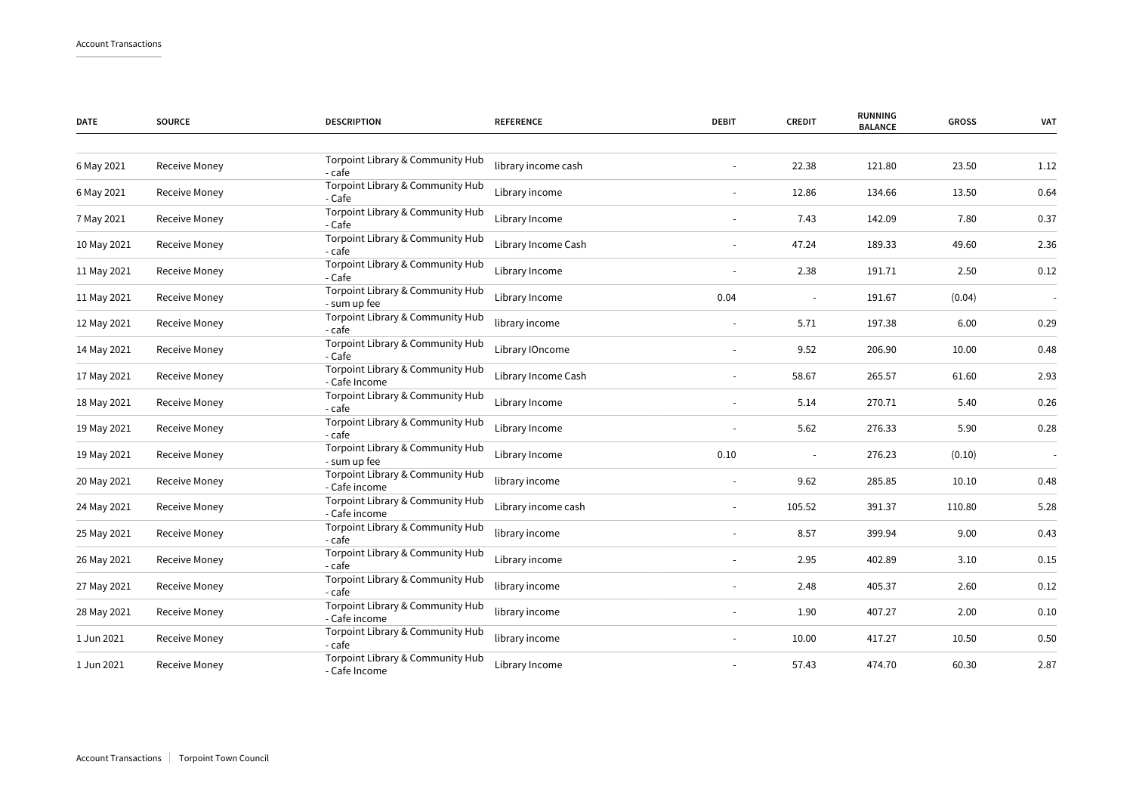| <b>DATE</b> | <b>SOURCE</b>        | <b>DESCRIPTION</b>                                | <b>REFERENCE</b>    | <b>DEBIT</b>             | <b>CREDIT</b> | <b>RUNNING</b><br><b>BALANCE</b> | <b>GROSS</b> | <b>VAT</b> |
|-------------|----------------------|---------------------------------------------------|---------------------|--------------------------|---------------|----------------------------------|--------------|------------|
|             |                      |                                                   |                     |                          |               |                                  |              |            |
| 6 May 2021  | Receive Money        | Torpoint Library & Community Hub<br>- cafe        | library income cash |                          | 22.38         | 121.80                           | 23.50        | 1.12       |
| 6 May 2021  | <b>Receive Money</b> | Torpoint Library & Community Hub<br>- Cafe        | Library income      |                          | 12.86         | 134.66                           | 13.50        | 0.64       |
| 7 May 2021  | Receive Money        | Torpoint Library & Community Hub<br>- Cafe        | Library Income      |                          | 7.43          | 142.09                           | 7.80         | 0.37       |
| 10 May 2021 | <b>Receive Money</b> | Torpoint Library & Community Hub<br>- cafe        | Library Income Cash |                          | 47.24         | 189.33                           | 49.60        | 2.36       |
| 11 May 2021 | Receive Money        | Torpoint Library & Community Hub<br>- Cafe        | Library Income      |                          | 2.38          | 191.71                           | 2.50         | 0.12       |
| 11 May 2021 | Receive Money        | Torpoint Library & Community Hub<br>- sum up fee  | Library Income      | 0.04                     |               | 191.67                           | (0.04)       |            |
| 12 May 2021 | Receive Money        | Torpoint Library & Community Hub<br>- cafe        | library income      |                          | 5.71          | 197.38                           | 6.00         | 0.29       |
| 14 May 2021 | Receive Money        | Torpoint Library & Community Hub<br>- Cafe        | Library IOncome     |                          | 9.52          | 206.90                           | 10.00        | 0.48       |
| 17 May 2021 | Receive Money        | Torpoint Library & Community Hub<br>- Cafe Income | Library Income Cash |                          | 58.67         | 265.57                           | 61.60        | 2.93       |
| 18 May 2021 | Receive Money        | Torpoint Library & Community Hub<br>- cafe        | Library Income      |                          | 5.14          | 270.71                           | 5.40         | 0.26       |
| 19 May 2021 | Receive Money        | Torpoint Library & Community Hub<br>- cafe        | Library Income      |                          | 5.62          | 276.33                           | 5.90         | 0.28       |
| 19 May 2021 | Receive Money        | Torpoint Library & Community Hub<br>- sum up fee  | Library Income      | 0.10                     |               | 276.23                           | (0.10)       |            |
| 20 May 2021 | Receive Money        | Torpoint Library & Community Hub<br>- Cafe income | library income      |                          | 9.62          | 285.85                           | 10.10        | 0.48       |
| 24 May 2021 | Receive Money        | Torpoint Library & Community Hub<br>- Cafe income | Library income cash |                          | 105.52        | 391.37                           | 110.80       | 5.28       |
| 25 May 2021 | Receive Money        | Torpoint Library & Community Hub<br>- cafe        | library income      |                          | 8.57          | 399.94                           | 9.00         | 0.43       |
| 26 May 2021 | Receive Money        | Torpoint Library & Community Hub<br>- cafe        | Library income      |                          | 2.95          | 402.89                           | 3.10         | 0.15       |
| 27 May 2021 | <b>Receive Money</b> | Torpoint Library & Community Hub<br>- cafe        | library income      | $\blacksquare$           | 2.48          | 405.37                           | 2.60         | 0.12       |
| 28 May 2021 | Receive Money        | Torpoint Library & Community Hub<br>- Cafe income | library income      | $\overline{\phantom{a}}$ | 1.90          | 407.27                           | 2.00         | 0.10       |
| 1 Jun 2021  | Receive Money        | Torpoint Library & Community Hub<br>- cafe        | library income      |                          | 10.00         | 417.27                           | 10.50        | 0.50       |
| 1 Jun 2021  | Receive Money        | Torpoint Library & Community Hub<br>- Cafe Income | Library Income      |                          | 57.43         | 474.70                           | 60.30        | 2.87       |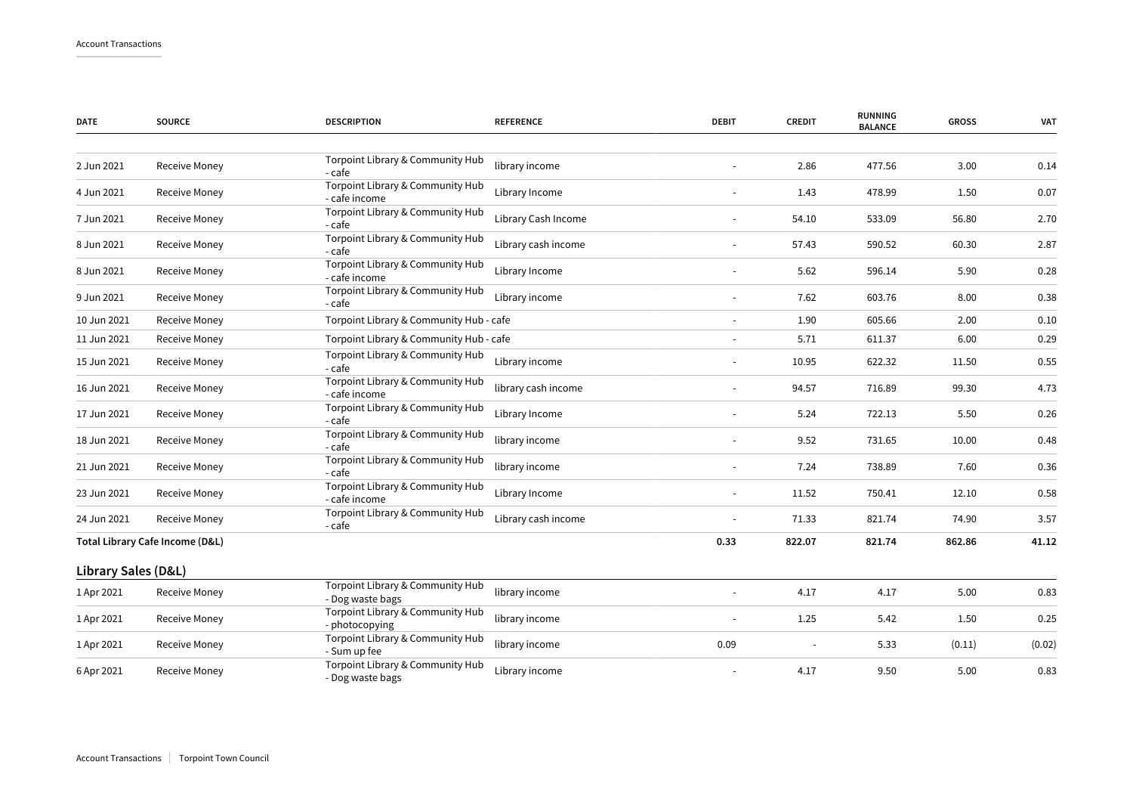| <b>DATE</b>         | <b>SOURCE</b>                   | <b>DESCRIPTION</b>                                   | <b>REFERENCE</b>    | <b>DEBIT</b> | <b>CREDIT</b> | <b>RUNNING</b><br><b>BALANCE</b> | <b>GROSS</b> | <b>VAT</b> |
|---------------------|---------------------------------|------------------------------------------------------|---------------------|--------------|---------------|----------------------------------|--------------|------------|
| 2 Jun 2021          | <b>Receive Money</b>            | Torpoint Library & Community Hub<br>- cafe           | library income      |              | 2.86          | 477.56                           | 3.00         | 0.14       |
| 4 Jun 2021          | Receive Money                   | Torpoint Library & Community Hub<br>- cafe income    | Library Income      |              | 1.43          | 478.99                           | 1.50         | 0.07       |
| 7 Jun 2021          | Receive Money                   | Torpoint Library & Community Hub<br>- cafe           | Library Cash Income |              | 54.10         | 533.09                           | 56.80        | 2.70       |
| 8 Jun 2021          | Receive Money                   | Torpoint Library & Community Hub<br>- cafe           | Library cash income |              | 57.43         | 590.52                           | 60.30        | 2.87       |
| 8 Jun 2021          | Receive Money                   | Torpoint Library & Community Hub<br>- cafe income    | Library Income      |              | 5.62          | 596.14                           | 5.90         | 0.28       |
| 9 Jun 2021          | Receive Money                   | Torpoint Library & Community Hub<br>- cafe           | Library income      | $\sim$       | 7.62          | 603.76                           | 8.00         | 0.38       |
| 10 Jun 2021         | Receive Money                   | Torpoint Library & Community Hub - cafe              |                     | $\sim$       | 1.90          | 605.66                           | 2.00         | 0.10       |
| 11 Jun 2021         | Receive Money                   | Torpoint Library & Community Hub - cafe              |                     |              | 5.71          | 611.37                           | 6.00         | 0.29       |
| 15 Jun 2021         | Receive Money                   | Torpoint Library & Community Hub<br>- cafe           | Library income      | $\sim$       | 10.95         | 622.32                           | 11.50        | 0.55       |
| 16 Jun 2021         | Receive Money                   | Torpoint Library & Community Hub<br>- cafe income    | library cash income |              | 94.57         | 716.89                           | 99.30        | 4.73       |
| 17 Jun 2021         | <b>Receive Money</b>            | Torpoint Library & Community Hub<br>- cafe           | Library Income      |              | 5.24          | 722.13                           | 5.50         | 0.26       |
| 18 Jun 2021         | Receive Money                   | Torpoint Library & Community Hub<br>- cafe           | library income      |              | 9.52          | 731.65                           | 10.00        | 0.48       |
| 21 Jun 2021         | Receive Money                   | Torpoint Library & Community Hub<br>- cafe           | library income      | $\sim$       | 7.24          | 738.89                           | 7.60         | 0.36       |
| 23 Jun 2021         | Receive Money                   | Torpoint Library & Community Hub<br>- cafe income    | Library Income      |              | 11.52         | 750.41                           | 12.10        | 0.58       |
| 24 Jun 2021         | Receive Money                   | Torpoint Library & Community Hub<br>- cafe           | Library cash income |              | 71.33         | 821.74                           | 74.90        | 3.57       |
|                     | Total Library Cafe Income (D&L) |                                                      |                     | 0.33         | 822.07        | 821.74                           | 862.86       | 41.12      |
| Library Sales (D&L) |                                 |                                                      |                     |              |               |                                  |              |            |
| 1 Apr 2021          | <b>Receive Money</b>            | Torpoint Library & Community Hub<br>- Dog waste bags | library income      |              | 4.17          | 4.17                             | 5.00         | 0.83       |
| 1 Apr 2021          | Receive Money                   | Torpoint Library & Community Hub<br>- photocopying   | library income      |              | 1.25          | 5.42                             | 1.50         | 0.25       |
| 1 Apr 2021          | Receive Money                   | Torpoint Library & Community Hub<br>- Sum up fee     | library income      | 0.09         |               | 5.33                             | (0.11)       | (0.02)     |
| 6 Apr 2021          | Receive Money                   | Torpoint Library & Community Hub<br>- Dog waste bags | Library income      |              | 4.17          | 9.50                             | 5.00         | 0.83       |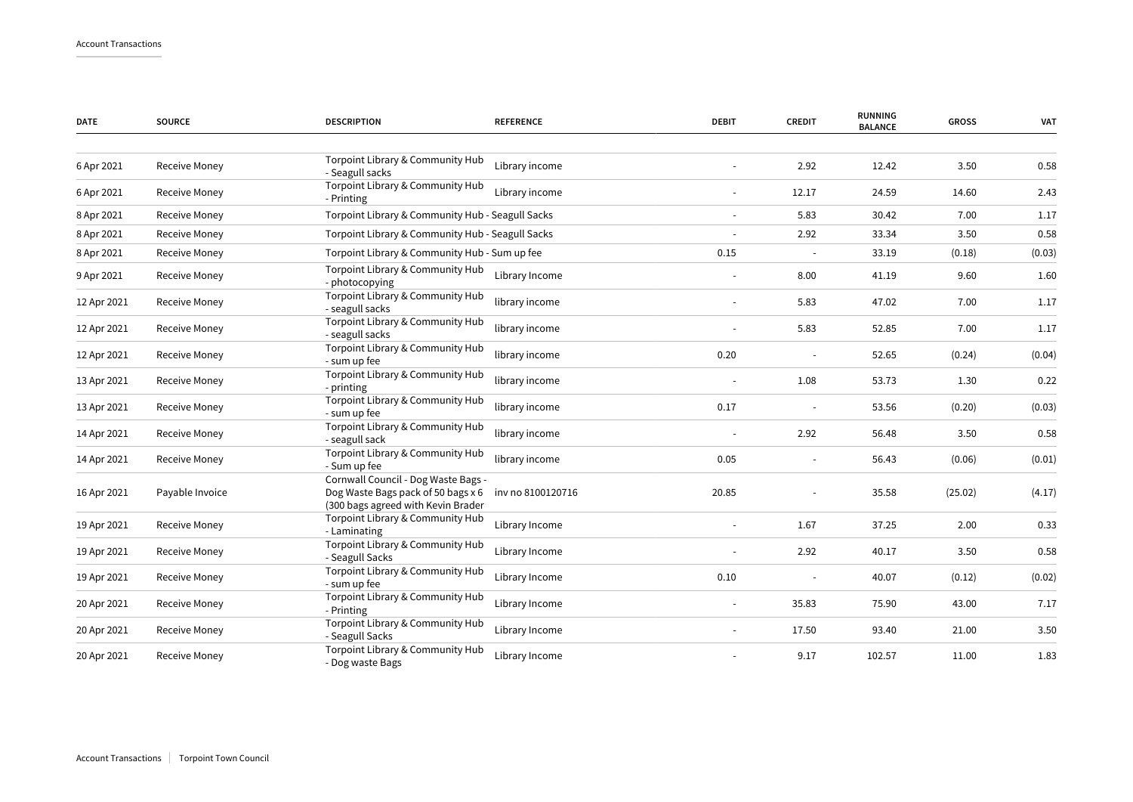| <b>DATE</b> | <b>SOURCE</b>        | <b>DESCRIPTION</b>                                                                                              | <b>REFERENCE</b>  | <b>DEBIT</b>             | <b>CREDIT</b> | <b>RUNNING</b><br><b>BALANCE</b> | <b>GROSS</b> | VAT    |
|-------------|----------------------|-----------------------------------------------------------------------------------------------------------------|-------------------|--------------------------|---------------|----------------------------------|--------------|--------|
| 6 Apr 2021  | Receive Money        | Torpoint Library & Community Hub<br>- Seagull sacks                                                             | Library income    |                          | 2.92          | 12.42                            | 3.50         | 0.58   |
| 6 Apr 2021  | <b>Receive Money</b> | Torpoint Library & Community Hub<br>- Printing                                                                  | Library income    | $\sim$                   | 12.17         | 24.59                            | 14.60        | 2.43   |
| 8 Apr 2021  | <b>Receive Money</b> | Torpoint Library & Community Hub - Seagull Sacks                                                                |                   |                          | 5.83          | 30.42                            | 7.00         | 1.17   |
| 8 Apr 2021  | Receive Money        | Torpoint Library & Community Hub - Seagull Sacks                                                                |                   |                          | 2.92          | 33.34                            | 3.50         | 0.58   |
| 8 Apr 2021  | Receive Money        | Torpoint Library & Community Hub - Sum up fee                                                                   |                   | 0.15                     |               | 33.19                            | (0.18)       | (0.03) |
| 9 Apr 2021  | Receive Money        | Torpoint Library & Community Hub<br>- photocopying                                                              | Library Income    |                          | 8.00          | 41.19                            | 9.60         | 1.60   |
| 12 Apr 2021 | <b>Receive Money</b> | Torpoint Library & Community Hub<br>- seagull sacks                                                             | library income    |                          | 5.83          | 47.02                            | 7.00         | 1.17   |
| 12 Apr 2021 | Receive Money        | Torpoint Library & Community Hub<br>- seagull sacks                                                             | library income    |                          | 5.83          | 52.85                            | 7.00         | 1.17   |
| 12 Apr 2021 | Receive Money        | Torpoint Library & Community Hub<br>- sum up fee                                                                | library income    | 0.20                     |               | 52.65                            | (0.24)       | (0.04) |
| 13 Apr 2021 | Receive Money        | Torpoint Library & Community Hub<br>- printing                                                                  | library income    |                          | 1.08          | 53.73                            | 1.30         | 0.22   |
| 13 Apr 2021 | Receive Money        | Torpoint Library & Community Hub<br>- sum up fee                                                                | library income    | 0.17                     |               | 53.56                            | (0.20)       | (0.03) |
| 14 Apr 2021 | Receive Money        | Torpoint Library & Community Hub<br>- seagull sack                                                              | library income    | $\sim$                   | 2.92          | 56.48                            | 3.50         | 0.58   |
| 14 Apr 2021 | Receive Money        | Torpoint Library & Community Hub<br>- Sum up fee                                                                | library income    | 0.05                     |               | 56.43                            | (0.06)       | (0.01) |
| 16 Apr 2021 | Payable Invoice      | Cornwall Council - Dog Waste Bags -<br>Dog Waste Bags pack of 50 bags x 6<br>(300 bags agreed with Kevin Brader | inv no 8100120716 | 20.85                    |               | 35.58                            | (25.02)      | (4.17) |
| 19 Apr 2021 | Receive Money        | Torpoint Library & Community Hub<br>- Laminating                                                                | Library Income    | $\overline{\phantom{a}}$ | 1.67          | 37.25                            | 2.00         | 0.33   |
| 19 Apr 2021 | Receive Money        | Torpoint Library & Community Hub<br>- Seagull Sacks                                                             | Library Income    |                          | 2.92          | 40.17                            | 3.50         | 0.58   |
| 19 Apr 2021 | Receive Money        | Torpoint Library & Community Hub<br>- sum up fee                                                                | Library Income    | 0.10                     |               | 40.07                            | (0.12)       | (0.02) |
| 20 Apr 2021 | Receive Money        | Torpoint Library & Community Hub<br>- Printing                                                                  | Library Income    |                          | 35.83         | 75.90                            | 43.00        | 7.17   |
| 20 Apr 2021 | Receive Money        | Torpoint Library & Community Hub<br>- Seagull Sacks                                                             | Library Income    |                          | 17.50         | 93.40                            | 21.00        | 3.50   |
| 20 Apr 2021 | Receive Money        | Torpoint Library & Community Hub<br>- Dog waste Bags                                                            | Library Income    |                          | 9.17          | 102.57                           | 11.00        | 1.83   |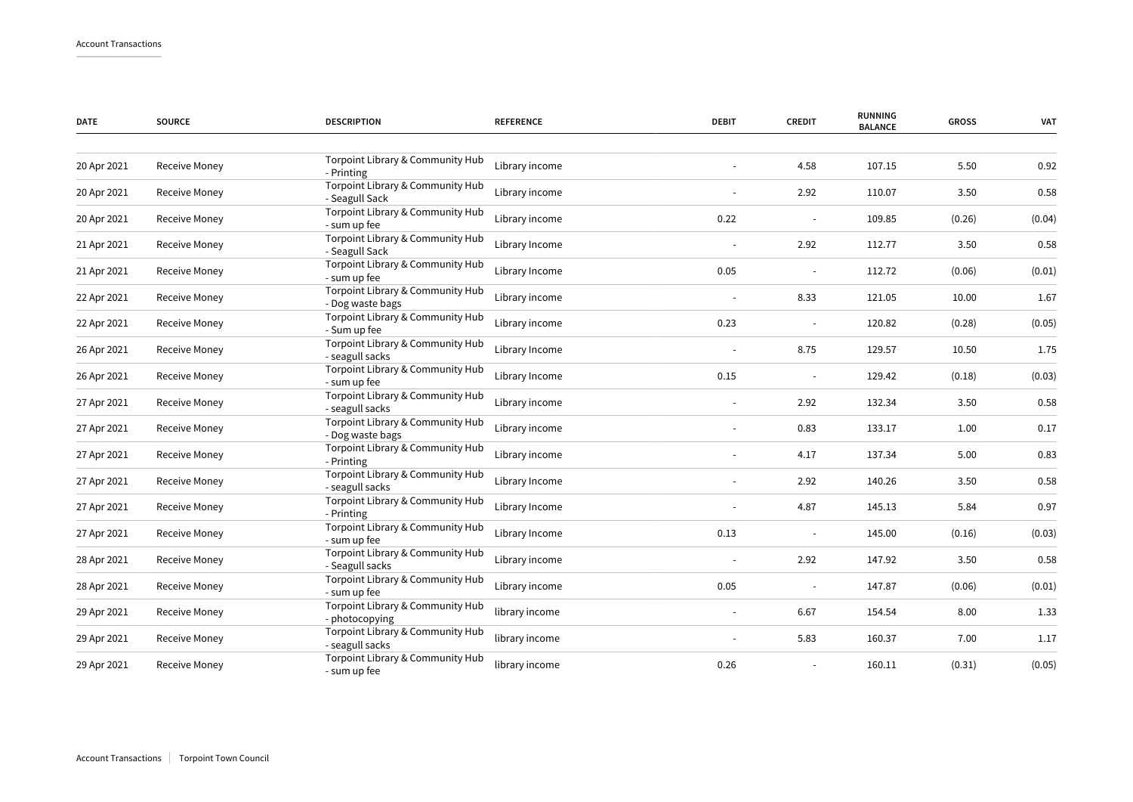| <b>DATE</b> | <b>SOURCE</b> | <b>DESCRIPTION</b>                                                 | <b>REFERENCE</b> | <b>DEBIT</b> | <b>CREDIT</b> | <b>RUNNING</b><br><b>BALANCE</b> | <b>GROSS</b> | <b>VAT</b> |
|-------------|---------------|--------------------------------------------------------------------|------------------|--------------|---------------|----------------------------------|--------------|------------|
| 20 Apr 2021 | Receive Money | Torpoint Library & Community Hub                                   | Library income   |              | 4.58          | 107.15                           | 5.50         | 0.92       |
| 20 Apr 2021 | Receive Money | - Printing<br>Torpoint Library & Community Hub                     | Library income   |              | 2.92          | 110.07                           | 3.50         | 0.58       |
| 20 Apr 2021 | Receive Money | - Seagull Sack<br>Torpoint Library & Community Hub<br>- sum up fee | Library income   | 0.22         |               | 109.85                           | (0.26)       | (0.04)     |
| 21 Apr 2021 | Receive Money | Torpoint Library & Community Hub<br>- Seagull Sack                 | Library Income   |              | 2.92          | 112.77                           | 3.50         | 0.58       |
| 21 Apr 2021 | Receive Money | Torpoint Library & Community Hub<br>- sum up fee                   | Library Income   | 0.05         |               | 112.72                           | (0.06)       | (0.01)     |
| 22 Apr 2021 | Receive Money | Torpoint Library & Community Hub<br>- Dog waste bags               | Library income   |              | 8.33          | 121.05                           | 10.00        | 1.67       |
| 22 Apr 2021 | Receive Money | Torpoint Library & Community Hub<br>- Sum up fee                   | Library income   | 0.23         |               | 120.82                           | (0.28)       | (0.05)     |
| 26 Apr 2021 | Receive Money | Torpoint Library & Community Hub<br>- seagull sacks                | Library Income   |              | 8.75          | 129.57                           | 10.50        | 1.75       |
| 26 Apr 2021 | Receive Money | Torpoint Library & Community Hub<br>- sum up fee                   | Library Income   | 0.15         |               | 129.42                           | (0.18)       | (0.03)     |
| 27 Apr 2021 | Receive Money | Torpoint Library & Community Hub<br>- seagull sacks                | Library income   |              | 2.92          | 132.34                           | 3.50         | 0.58       |
| 27 Apr 2021 | Receive Money | Torpoint Library & Community Hub<br>- Dog waste bags               | Library income   |              | 0.83          | 133.17                           | 1.00         | 0.17       |
| 27 Apr 2021 | Receive Money | Torpoint Library & Community Hub<br>- Printing                     | Library income   |              | 4.17          | 137.34                           | 5.00         | 0.83       |
| 27 Apr 2021 | Receive Money | Torpoint Library & Community Hub<br>- seagull sacks                | Library Income   |              | 2.92          | 140.26                           | 3.50         | 0.58       |
| 27 Apr 2021 | Receive Money | Torpoint Library & Community Hub<br>- Printing                     | Library Income   |              | 4.87          | 145.13                           | 5.84         | 0.97       |
| 27 Apr 2021 | Receive Money | Torpoint Library & Community Hub<br>- sum up fee                   | Library Income   | 0.13         |               | 145.00                           | (0.16)       | (0.03)     |
| 28 Apr 2021 | Receive Money | Torpoint Library & Community Hub<br>- Seagull sacks                | Library income   |              | 2.92          | 147.92                           | 3.50         | 0.58       |
| 28 Apr 2021 | Receive Money | Torpoint Library & Community Hub<br>- sum up fee                   | Library income   | 0.05         | $\sim$        | 147.87                           | (0.06)       | (0.01)     |
| 29 Apr 2021 | Receive Money | Torpoint Library & Community Hub<br>- photocopying                 | library income   |              | 6.67          | 154.54                           | 8.00         | 1.33       |
| 29 Apr 2021 | Receive Money | Torpoint Library & Community Hub<br>- seagull sacks                | library income   |              | 5.83          | 160.37                           | 7.00         | 1.17       |
| 29 Apr 2021 | Receive Money | Torpoint Library & Community Hub<br>- sum up fee                   | library income   | 0.26         |               | 160.11                           | (0.31)       | (0.05)     |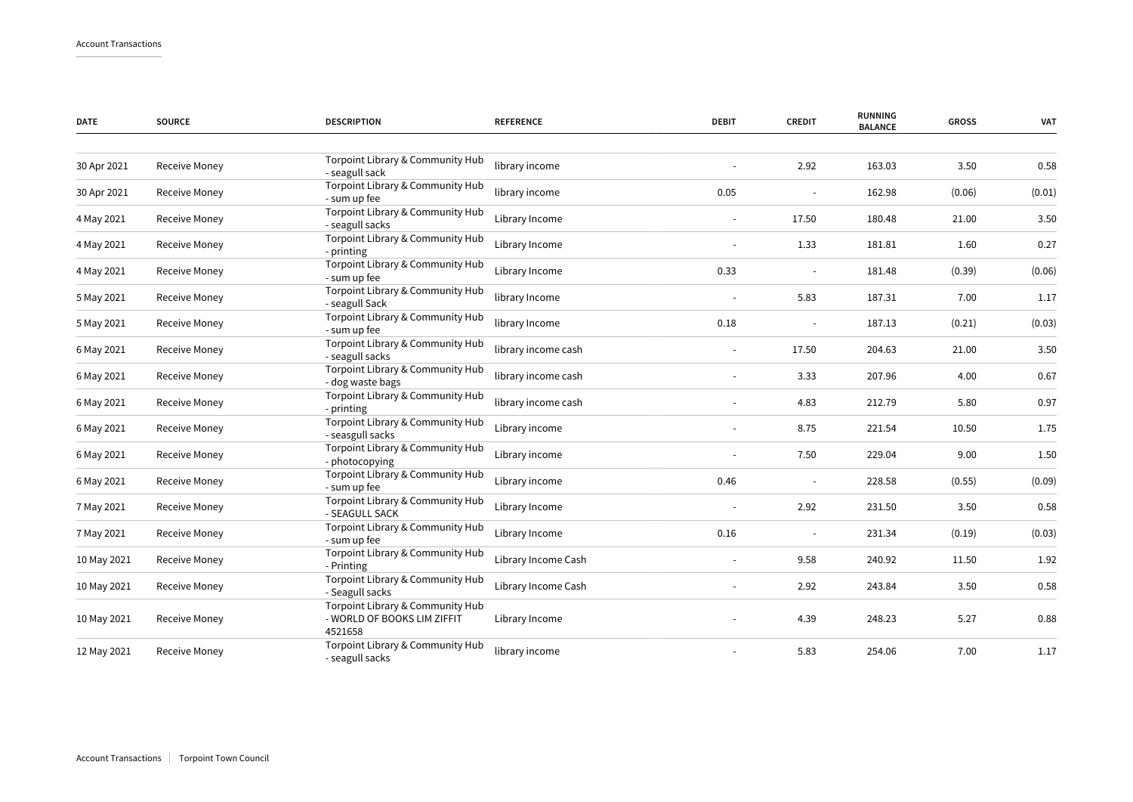| <b>DATE</b> | <b>SOURCE</b>        | <b>DESCRIPTION</b>                                                         | <b>REFERENCE</b>    | <b>DEBIT</b> | <b>CREDIT</b> | <b>RUNNING</b><br><b>BALANCE</b> | <b>GROSS</b> | VAT    |
|-------------|----------------------|----------------------------------------------------------------------------|---------------------|--------------|---------------|----------------------------------|--------------|--------|
|             |                      | Torpoint Library & Community Hub                                           |                     |              |               |                                  |              |        |
| 30 Apr 2021 | Receive Money        | - seagull sack                                                             | library income      |              | 2.92          | 163.03                           | 3.50         | 0.58   |
| 30 Apr 2021 | Receive Money        | Torpoint Library & Community Hub<br>- sum up fee                           | library income      | 0.05         |               | 162.98                           | (0.06)       | (0.01) |
| 4 May 2021  | Receive Money        | Torpoint Library & Community Hub<br>- seagull sacks                        | Library Income      |              | 17.50         | 180.48                           | 21.00        | 3.50   |
| 4 May 2021  | Receive Money        | Torpoint Library & Community Hub<br>- printing                             | Library Income      |              | 1.33          | 181.81                           | 1.60         | 0.27   |
| 4 May 2021  | <b>Receive Money</b> | Torpoint Library & Community Hub<br>- sum up fee                           | Library Income      | 0.33         |               | 181.48                           | (0.39)       | (0.06) |
| 5 May 2021  | Receive Money        | Torpoint Library & Community Hub<br>- seagull Sack                         | library Income      |              | 5.83          | 187.31                           | 7.00         | 1.17   |
| 5 May 2021  | Receive Money        | Torpoint Library & Community Hub<br>- sum up fee                           | library Income      | 0.18         |               | 187.13                           | (0.21)       | (0.03) |
| 6 May 2021  | Receive Money        | Torpoint Library & Community Hub<br>- seagull sacks                        | library income cash |              | 17.50         | 204.63                           | 21.00        | 3.50   |
| 6 May 2021  | Receive Money        | Torpoint Library & Community Hub<br>- dog waste bags                       | library income cash |              | 3.33          | 207.96                           | 4.00         | 0.67   |
| 6 May 2021  | Receive Money        | Torpoint Library & Community Hub<br>- printing                             | library income cash |              | 4.83          | 212.79                           | 5.80         | 0.97   |
| 6 May 2021  | Receive Money        | Torpoint Library & Community Hub<br>- seasgull sacks                       | Library income      |              | 8.75          | 221.54                           | 10.50        | 1.75   |
| 6 May 2021  | Receive Money        | Torpoint Library & Community Hub<br>- photocopying                         | Library income      | $\sim$       | 7.50          | 229.04                           | 9.00         | 1.50   |
| 6 May 2021  | Receive Money        | Torpoint Library & Community Hub<br>- sum up fee                           | Library income      | 0.46         |               | 228.58                           | (0.55)       | (0.09) |
| 7 May 2021  | Receive Money        | Torpoint Library & Community Hub<br>- SEAGULL SACK                         | Library Income      |              | 2.92          | 231.50                           | 3.50         | 0.58   |
| 7 May 2021  | Receive Money        | Torpoint Library & Community Hub<br>- sum up fee                           | Library Income      | 0.16         |               | 231.34                           | (0.19)       | (0.03) |
| 10 May 2021 | Receive Money        | Torpoint Library & Community Hub<br>- Printing                             | Library Income Cash | $\sim$       | 9.58          | 240.92                           | 11.50        | 1.92   |
| 10 May 2021 | Receive Money        | Torpoint Library & Community Hub<br>- Seagull sacks                        | Library Income Cash |              | 2.92          | 243.84                           | 3.50         | 0.58   |
| 10 May 2021 | Receive Money        | Torpoint Library & Community Hub<br>- WORLD OF BOOKS LIM ZIFFIT<br>4521658 | Library Income      |              | 4.39          | 248.23                           | 5.27         | 0.88   |
| 12 May 2021 | Receive Money        | Torpoint Library & Community Hub<br>- seagull sacks                        | library income      |              | 5.83          | 254.06                           | 7.00         | 1.17   |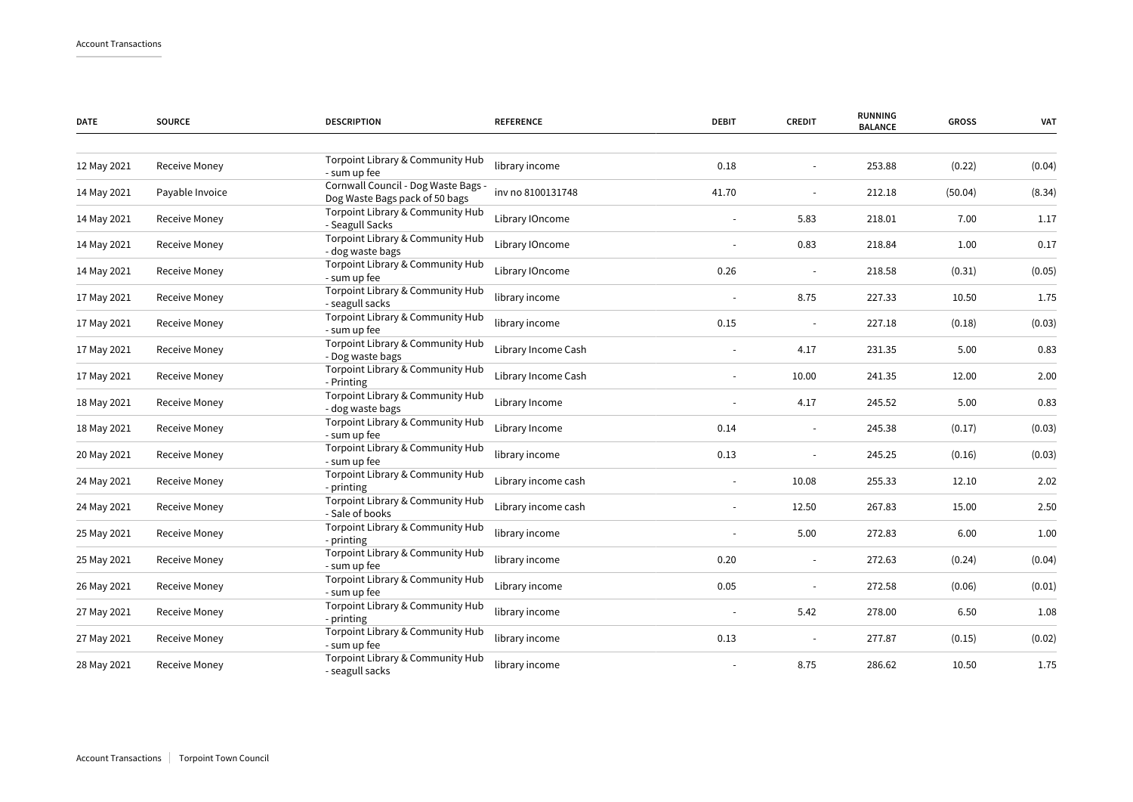| <b>DATE</b> | <b>SOURCE</b>   | <b>DESCRIPTION</b>                                                    | <b>REFERENCE</b>    | <b>DEBIT</b> | <b>CREDIT</b> | <b>RUNNING</b><br><b>BALANCE</b> | <b>GROSS</b> | <b>VAT</b> |
|-------------|-----------------|-----------------------------------------------------------------------|---------------------|--------------|---------------|----------------------------------|--------------|------------|
|             |                 |                                                                       |                     |              |               |                                  |              |            |
| 12 May 2021 | Receive Money   | Torpoint Library & Community Hub<br>- sum up fee                      | library income      | 0.18         |               | 253.88                           | (0.22)       | (0.04)     |
| 14 May 2021 | Payable Invoice | Cornwall Council - Dog Waste Bags -<br>Dog Waste Bags pack of 50 bags | inv no 8100131748   | 41.70        |               | 212.18                           | (50.04)      | (8.34)     |
| 14 May 2021 | Receive Money   | Torpoint Library & Community Hub<br>- Seagull Sacks                   | Library IOncome     |              | 5.83          | 218.01                           | 7.00         | 1.17       |
| 14 May 2021 | Receive Money   | Torpoint Library & Community Hub<br>- dog waste bags                  | Library IOncome     |              | 0.83          | 218.84                           | 1.00         | 0.17       |
| 14 May 2021 | Receive Money   | Torpoint Library & Community Hub<br>- sum up fee                      | Library IOncome     | 0.26         |               | 218.58                           | (0.31)       | (0.05)     |
| 17 May 2021 | Receive Money   | Torpoint Library & Community Hub<br>- seagull sacks                   | library income      |              | 8.75          | 227.33                           | 10.50        | 1.75       |
| 17 May 2021 | Receive Money   | Torpoint Library & Community Hub<br>- sum up fee                      | library income      | 0.15         |               | 227.18                           | (0.18)       | (0.03)     |
| 17 May 2021 | Receive Money   | Torpoint Library & Community Hub<br>- Dog waste bags                  | Library Income Cash |              | 4.17          | 231.35                           | 5.00         | 0.83       |
| 17 May 2021 | Receive Money   | Torpoint Library & Community Hub<br>- Printing                        | Library Income Cash |              | 10.00         | 241.35                           | 12.00        | 2.00       |
| 18 May 2021 | Receive Money   | Torpoint Library & Community Hub<br>- dog waste bags                  | Library Income      |              | 4.17          | 245.52                           | 5.00         | 0.83       |
| 18 May 2021 | Receive Money   | Torpoint Library & Community Hub<br>- sum up fee                      | Library Income      | 0.14         |               | 245.38                           | (0.17)       | (0.03)     |
| 20 May 2021 | Receive Money   | Torpoint Library & Community Hub<br>- sum up fee                      | library income      | 0.13         |               | 245.25                           | (0.16)       | (0.03)     |
| 24 May 2021 | Receive Money   | Torpoint Library & Community Hub<br>- printing                        | Library income cash |              | 10.08         | 255.33                           | 12.10        | 2.02       |
| 24 May 2021 | Receive Money   | Torpoint Library & Community Hub<br>- Sale of books                   | Library income cash |              | 12.50         | 267.83                           | 15.00        | 2.50       |
| 25 May 2021 | Receive Money   | Torpoint Library & Community Hub<br>- printing                        | library income      |              | 5.00          | 272.83                           | 6.00         | 1.00       |
| 25 May 2021 | Receive Money   | Torpoint Library & Community Hub<br>- sum up fee                      | library income      | 0.20         |               | 272.63                           | (0.24)       | (0.04)     |
| 26 May 2021 | Receive Money   | Torpoint Library & Community Hub<br>- sum up fee                      | Library income      | 0.05         | $\sim$        | 272.58                           | (0.06)       | (0.01)     |
| 27 May 2021 | Receive Money   | Torpoint Library & Community Hub<br>- printing                        | library income      |              | 5.42          | 278.00                           | 6.50         | 1.08       |
| 27 May 2021 | Receive Money   | Torpoint Library & Community Hub<br>- sum up fee                      | library income      | 0.13         |               | 277.87                           | (0.15)       | (0.02)     |
| 28 May 2021 | Receive Money   | Torpoint Library & Community Hub<br>- seagull sacks                   | library income      |              | 8.75          | 286.62                           | 10.50        | 1.75       |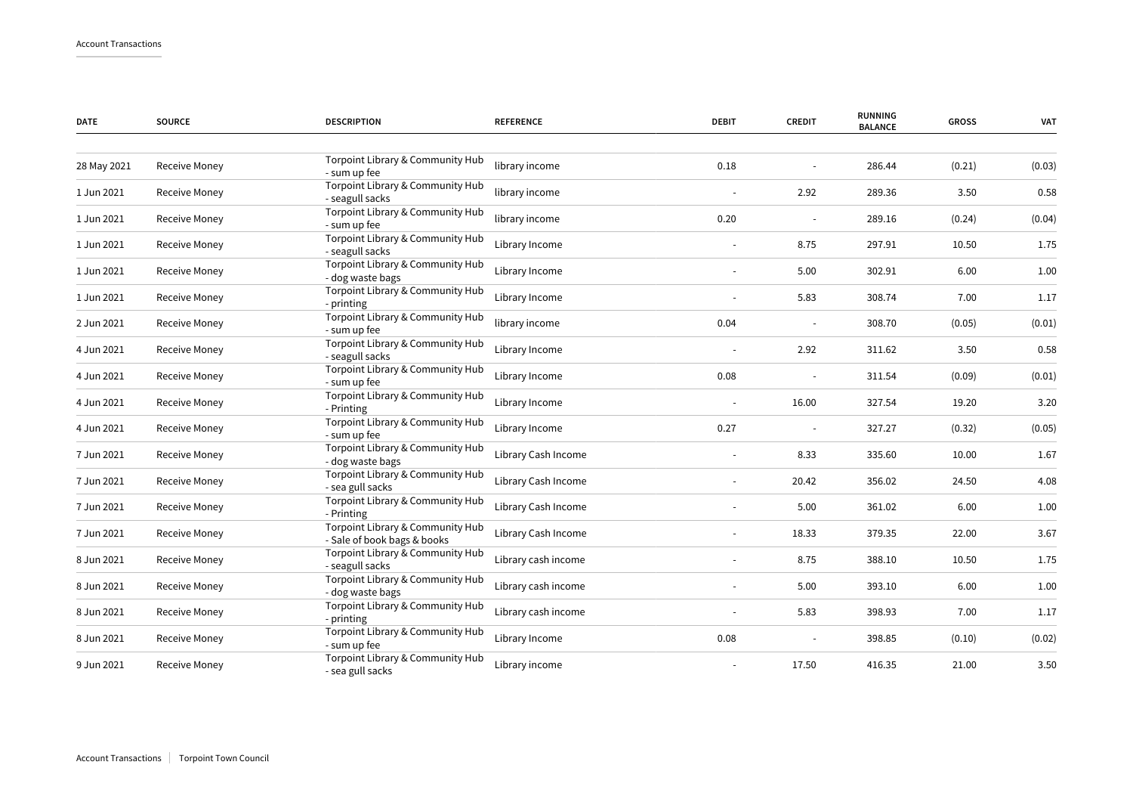| <b>DATE</b> | <b>SOURCE</b>        | <b>DESCRIPTION</b>                                              | <b>REFERENCE</b>    | <b>DEBIT</b> | <b>CREDIT</b> | <b>RUNNING</b><br><b>BALANCE</b> | <b>GROSS</b> | <b>VAT</b> |
|-------------|----------------------|-----------------------------------------------------------------|---------------------|--------------|---------------|----------------------------------|--------------|------------|
|             |                      |                                                                 |                     |              |               |                                  |              |            |
| 28 May 2021 | <b>Receive Money</b> | Torpoint Library & Community Hub<br>- sum up fee                | library income      | 0.18         |               | 286.44                           | (0.21)       | (0.03)     |
| 1 Jun 2021  | Receive Money        | Torpoint Library & Community Hub<br>- seagull sacks             | library income      |              | 2.92          | 289.36                           | 3.50         | 0.58       |
| 1 Jun 2021  | Receive Money        | Torpoint Library & Community Hub<br>- sum up fee                | library income      | 0.20         |               | 289.16                           | (0.24)       | (0.04)     |
| 1 Jun 2021  | Receive Money        | Torpoint Library & Community Hub<br>- seagull sacks             | Library Income      |              | 8.75          | 297.91                           | 10.50        | 1.75       |
| 1 Jun 2021  | Receive Money        | Torpoint Library & Community Hub<br>- dog waste bags            | Library Income      |              | 5.00          | 302.91                           | 6.00         | 1.00       |
| 1 Jun 2021  | Receive Money        | Torpoint Library & Community Hub<br>- printing                  | Library Income      |              | 5.83          | 308.74                           | 7.00         | 1.17       |
| 2 Jun 2021  | Receive Money        | Torpoint Library & Community Hub<br>- sum up fee                | library income      | 0.04         |               | 308.70                           | (0.05)       | (0.01)     |
| 4 Jun 2021  | Receive Money        | Torpoint Library & Community Hub<br>- seagull sacks             | Library Income      |              | 2.92          | 311.62                           | 3.50         | 0.58       |
| 4 Jun 2021  | Receive Money        | Torpoint Library & Community Hub<br>- sum up fee                | Library Income      | 0.08         |               | 311.54                           | (0.09)       | (0.01)     |
| 4 Jun 2021  | Receive Money        | Torpoint Library & Community Hub<br>- Printing                  | Library Income      |              | 16.00         | 327.54                           | 19.20        | 3.20       |
| 4 Jun 2021  | Receive Money        | Torpoint Library & Community Hub<br>- sum up fee                | Library Income      | 0.27         |               | 327.27                           | (0.32)       | (0.05)     |
| 7 Jun 2021  | Receive Money        | Torpoint Library & Community Hub<br>- dog waste bags            | Library Cash Income |              | 8.33          | 335.60                           | 10.00        | 1.67       |
| 7 Jun 2021  | Receive Money        | Torpoint Library & Community Hub<br>- sea gull sacks            | Library Cash Income |              | 20.42         | 356.02                           | 24.50        | 4.08       |
| 7 Jun 2021  | Receive Money        | Torpoint Library & Community Hub<br>- Printing                  | Library Cash Income |              | 5.00          | 361.02                           | 6.00         | 1.00       |
| 7 Jun 2021  | Receive Money        | Torpoint Library & Community Hub<br>- Sale of book bags & books | Library Cash Income |              | 18.33         | 379.35                           | 22.00        | 3.67       |
| 8 Jun 2021  | Receive Money        | Torpoint Library & Community Hub<br>- seagull sacks             | Library cash income |              | 8.75          | 388.10                           | 10.50        | 1.75       |
| 8 Jun 2021  | Receive Money        | Torpoint Library & Community Hub<br>- dog waste bags            | Library cash income |              | 5.00          | 393.10                           | 6.00         | 1.00       |
| 8 Jun 2021  | Receive Money        | Torpoint Library & Community Hub<br>- printing                  | Library cash income |              | 5.83          | 398.93                           | 7.00         | 1.17       |
| 8 Jun 2021  | Receive Money        | Torpoint Library & Community Hub<br>- sum up fee                | Library Income      | 0.08         |               | 398.85                           | (0.10)       | (0.02)     |
| 9 Jun 2021  | Receive Money        | Torpoint Library & Community Hub<br>- sea gull sacks            | Library income      |              | 17.50         | 416.35                           | 21.00        | 3.50       |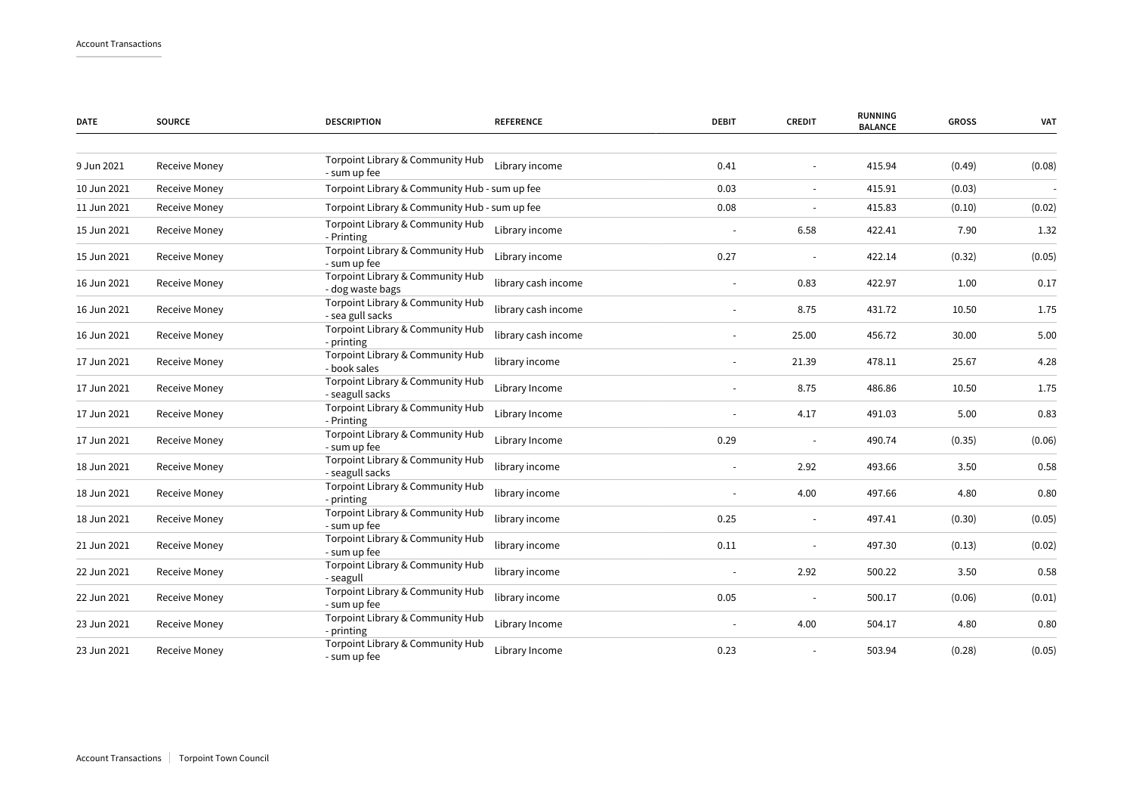| <b>DATE</b> | <b>SOURCE</b>        | <b>DESCRIPTION</b>                                   | <b>REFERENCE</b>    | <b>DEBIT</b>             | <b>CREDIT</b>            | <b>RUNNING</b><br><b>BALANCE</b> | <b>GROSS</b> | <b>VAT</b> |
|-------------|----------------------|------------------------------------------------------|---------------------|--------------------------|--------------------------|----------------------------------|--------------|------------|
| 9 Jun 2021  | Receive Money        | Torpoint Library & Community Hub<br>- sum up fee     | Library income      | 0.41                     |                          | 415.94                           | (0.49)       | (0.08)     |
| 10 Jun 2021 | <b>Receive Money</b> | Torpoint Library & Community Hub - sum up fee        |                     | 0.03                     | $\overline{\phantom{a}}$ | 415.91                           | (0.03)       |            |
| 11 Jun 2021 | Receive Money        | Torpoint Library & Community Hub - sum up fee        |                     | 0.08                     |                          | 415.83                           | (0.10)       | (0.02)     |
| 15 Jun 2021 | Receive Money        | Torpoint Library & Community Hub<br>- Printing       | Library income      |                          | 6.58                     | 422.41                           | 7.90         | 1.32       |
| 15 Jun 2021 | Receive Money        | Torpoint Library & Community Hub<br>- sum up fee     | Library income      | 0.27                     |                          | 422.14                           | (0.32)       | (0.05)     |
| 16 Jun 2021 | Receive Money        | Torpoint Library & Community Hub<br>- dog waste bags | library cash income |                          | 0.83                     | 422.97                           | 1.00         | 0.17       |
| 16 Jun 2021 | Receive Money        | Torpoint Library & Community Hub<br>- sea gull sacks | library cash income | $\overline{\phantom{a}}$ | 8.75                     | 431.72                           | 10.50        | 1.75       |
| 16 Jun 2021 | Receive Money        | Torpoint Library & Community Hub<br>- printing       | library cash income |                          | 25.00                    | 456.72                           | 30.00        | 5.00       |
| 17 Jun 2021 | Receive Money        | Torpoint Library & Community Hub<br>- book sales     | library income      |                          | 21.39                    | 478.11                           | 25.67        | 4.28       |
| 17 Jun 2021 | <b>Receive Money</b> | Torpoint Library & Community Hub<br>- seagull sacks  | Library Income      |                          | 8.75                     | 486.86                           | 10.50        | 1.75       |
| 17 Jun 2021 | Receive Money        | Torpoint Library & Community Hub<br>- Printing       | Library Income      |                          | 4.17                     | 491.03                           | 5.00         | 0.83       |
| 17 Jun 2021 | Receive Money        | Torpoint Library & Community Hub<br>- sum up fee     | Library Income      | 0.29                     |                          | 490.74                           | (0.35)       | (0.06)     |
| 18 Jun 2021 | Receive Money        | Torpoint Library & Community Hub<br>- seagull sacks  | library income      |                          | 2.92                     | 493.66                           | 3.50         | 0.58       |
| 18 Jun 2021 | Receive Money        | Torpoint Library & Community Hub<br>- printing       | library income      |                          | 4.00                     | 497.66                           | 4.80         | 0.80       |
| 18 Jun 2021 | Receive Money        | Torpoint Library & Community Hub<br>- sum up fee     | library income      | 0.25                     | $\overline{\phantom{a}}$ | 497.41                           | (0.30)       | (0.05)     |
| 21 Jun 2021 | Receive Money        | Torpoint Library & Community Hub<br>- sum up fee     | library income      | 0.11                     |                          | 497.30                           | (0.13)       | (0.02)     |
| 22 Jun 2021 | Receive Money        | Torpoint Library & Community Hub<br>- seagull        | library income      | $\overline{\phantom{a}}$ | 2.92                     | 500.22                           | 3.50         | 0.58       |
| 22 Jun 2021 | Receive Money        | Torpoint Library & Community Hub<br>- sum up fee     | library income      | 0.05                     |                          | 500.17                           | (0.06)       | (0.01)     |
| 23 Jun 2021 | Receive Money        | Torpoint Library & Community Hub<br>- printing       | Library Income      |                          | 4.00                     | 504.17                           | 4.80         | 0.80       |
| 23 Jun 2021 | <b>Receive Money</b> | Torpoint Library & Community Hub<br>- sum up fee     | Library Income      | 0.23                     |                          | 503.94                           | (0.28)       | (0.05)     |